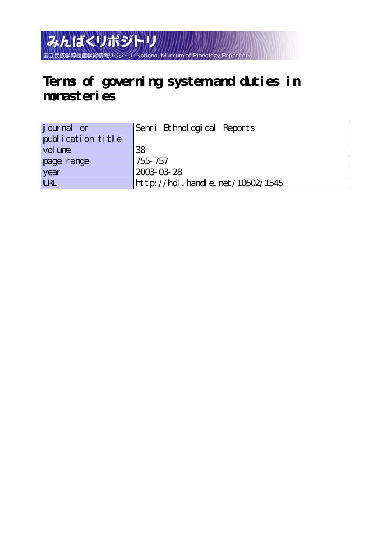みんぱくリポジトリ 国立民族学博物館学術情報リポジトリ National Museum

## **Terms of governing system and duties in monasteries**

| journal or        | Senri Ethnological Reports       |
|-------------------|----------------------------------|
| publication title |                                  |
| vol une           | 38                               |
| page range        | 755-757                          |
| year              | 2003-03-28                       |
| UN                | http://hdl.handle.net/10502/1545 |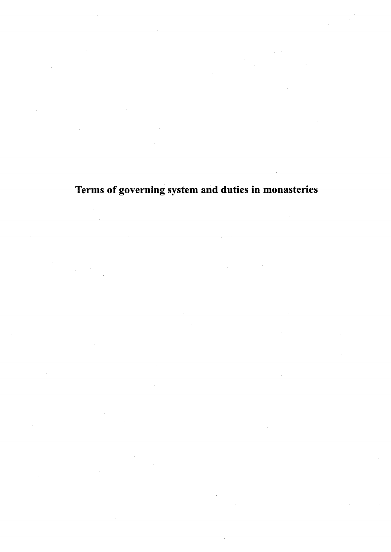Terms of governing system and duties in monasteries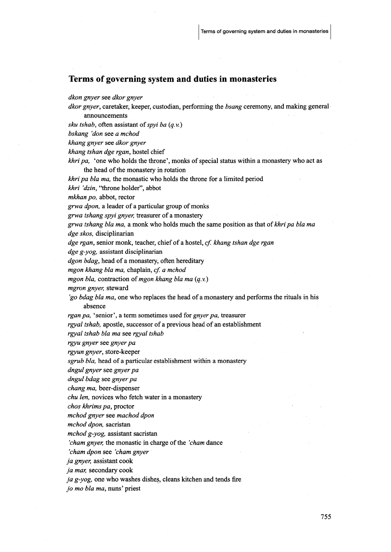## Terms of governing system and duties in monasteries

dkon gnyer see dkor gnyer

 $dkor$  gnyer, caretaker, keeper, custodian, performing the  $bsang$  ceremony, and making general announcements

sku tshab, often assistant of spyi ba  $(q, v)$ 

bskang 'don see a mchod

khang gayer see dkor gnyer

khang tshan dge rgan, hostel chief

khri pa, 'one who holds the throne', monks of special status within a monastery who act as the head of the monastery in rotation

 $k$ hripa bla ma, the monastic who holds the throne for a limited period

khri 'dzin, "throne holder", abbot

mkhan po, abbot, rector

grwa dpon, a leader of a particular group of monks

grwa tshang spyi gnyer, treasurer of a monastery

grwa tshang bla ma, a monk who holds much the same position as that of khri pa bla ma  $dge$  skos, disciplinarian

dge rgan, senior monk, teacher, chief of a hostel, cf. khang tshan dge rgan

 $\deg$ e g-yog, assistant disciplinarian

dgon bdag, head of a monastery, often hereditary

mgon khang bla ma, chaplain, cf. a mchod

mgon bla, contraction of mgon khang bla ma $(q, v)$ 

mgron gnyer, steward

'go bdag bla ma, one who replaces the head of a monastery and performs the rituals in his absence

rgan pa, 'senior', a term sometimes used for gnyer pa, treasurer

rgyal tshab, apostle, successor of a previous head of an establishment

rgyal tshab bla ma see rgyal tshab

rgyu gnyer see gnyer pa

rgyun gnyer, store-keeper

sgrub bla, head of a particular establishment within a monastery

dngul gnyer see gnyer pa

dngul bdag see gnyer pa

chang ma, beer-dispenser

chu len, novices who fetch water in a monastery

chos khrims pa, proctor<br>mchod gnyer see machod dpon

mchod dpon, sacristan

 $m$ chod g-yog, assistant sacristan

'cham gnyer, the monastic in charge of the 'cham dance

'cham dpon see 'cham gnyer

ja gnyer, assistant cook

ja mar, secondary cook

 $ja$  g-yog, one who washes dishes, cleans kitchen and tends fire

jo mo bla ma, nuns' priest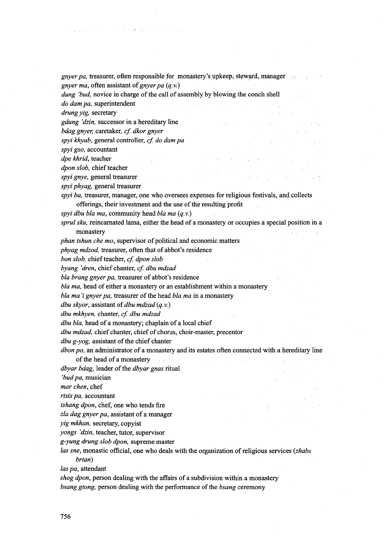in Kenal Poliski sports.

gnyer pa, treasurer, often responsible for monastery's upkeep, steward, manager gnyer ma, often assistant of gnyer pa  $(q.v.)$ 

dung 'bud, novice in charge of the call of assembly by blowing the conch shell

do dam pa, superintendent . drung yig, secretary

gdung 'dzin, successor in a hereditary line

bdag gnyer, caretaker, cf. dkor gnyer

spyi khyab, general controller, cf. do dam pa

spyi gso, accountant

cipekhrid,teachqr .- ', ・ - ,,,,.・ ・,

dpon slob, chief teacher

spyi gnye, general treasurer

spyi phyag, general treasurer

spyi ba, treasurer, manager, one who oversees expenses for religious festivals, and collects offerings, their investment and the use of the resulting profit.

spyi dbu bla ma, community head bla ma $(q, v)$ 

sprul sku, reincarnated lama, either the head of a monastery or occupies a special position in a

monastery<br> *phan tshun che mo*, supervisor of political and economic matters

phyag mdzod, treasurer, often that of abbot's residence

bon slob, chief teacher, cf. dpon slob

byang 'dren, chief chanter, cf. dbu mdzad

bla brang gnyer pa, treasurer of abbot's residence

bla ma, head of either a monastery or an establishment within a monastery

bla ma'i gnyer pa, treasurer of the head bla ma in a monastery

dbu skyor, assistant of dbu mdzad  $(q, v)$ 

dbu mkhyen, chanter, cf. dbu mdzad.

dbu bla, head of a monastery; chaplain of a local chief

dbu mdzad, chief chanter, chief of chorus, choir-master, precentor

dbu g-yog, assistant of the chief chanter

dbon po, an administrator of a monastery and its estates often connected with a hereditary line of the head of a monastery ...

dbyar bdag, leader of the dbyar gnas ritual

byar baag, leader of the *abyar ghas* ritual<br>bud pa, musician<br>nar chen, chef

mar chen, chef<br>rtsis pa, accountant<br>tshang dpon, chef, one who tends fire

zla dag gnyer pa, assistant of a manager

yig mkhan, secretary, copyist

yongs 'dzin, teacher, tutor, supervisor

g-yung drung slob dpon, supreme master

las sne, monastic official, one who deals with the organization of religious services (*zhabs* brtan)

las pa, attendant

shog dpon, person dealing with the affairs of a subdivision within a monastery bsang gtong, person dealing with the performance of the bsang ceremony